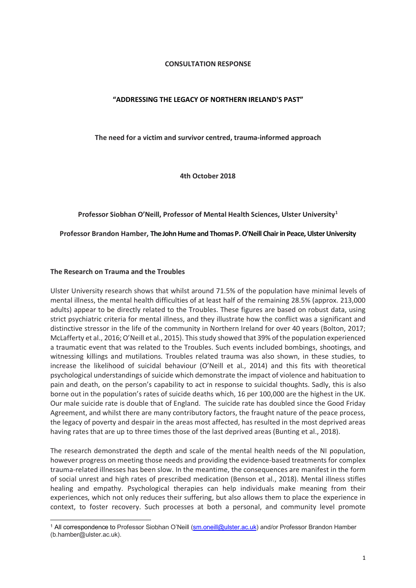### **CONSULTATION RESPONSE**

### **"ADDRESSING THE LEGACY OF NORTHERN IRELAND'S PAST"**

**The need for a victim and survivor centred, trauma-informed approach**

**4th October 2018**

## **Professor Siobhan O'Neill, Professor of Mental Health Sciences, Ulster University1**

### **Professor Brandon Hamber, The John Hume and Thomas P. O'Neill Chair in Peace, Ulster University**

#### **The Research on Trauma and the Troubles**

Ulster University research shows that whilst around 71.5% of the population have minimal levels of mental illness, the mental health difficulties of at least half of the remaining 28.5% (approx. 213,000 adults) appear to be directly related to the Troubles. These figures are based on robust data, using strict psychiatric criteria for mental illness, and they illustrate how the conflict was a significant and distinctive stressor in the life of the community in Northern Ireland for over 40 years (Bolton, 2017; McLafferty et al., 2016; O'Neill et al., 2015). This study showed that 39% of the population experienced a traumatic event that was related to the Troubles. Such events included bombings, shootings, and witnessing killings and mutilations. Troubles related trauma was also shown, in these studies, to increase the likelihood of suicidal behaviour (O'Neill et al., 2014) and this fits with theoretical psychological understandings of suicide which demonstrate the impact of violence and habituation to pain and death, on the person's capability to act in response to suicidal thoughts. Sadly, this is also borne out in the population's rates of suicide deaths which, 16 per 100,000 are the highest in the UK. Our male suicide rate is double that of England. The suicide rate has doubled since the Good Friday Agreement, and whilst there are many contributory factors, the fraught nature of the peace process, the legacy of poverty and despair in the areas most affected, has resulted in the most deprived areas having rates that are up to three times those of the last deprived areas (Bunting et al., 2018).

The research demonstrated the depth and scale of the mental health needs of the NI population, however progress on meeting those needs and providing the evidence-based treatments for complex trauma-related illnesses has been slow. In the meantime, the consequences are manifest in the form of social unrest and high rates of prescribed medication (Benson et al., 2018). Mental illness stifles healing and empathy. Psychological therapies can help individuals make meaning from their experiences, which not only reduces their suffering, but also allows them to place the experience in context, to foster recovery. Such processes at both a personal, and community level promote

 $\overline{a}$ <sup>1</sup> All correspondence to Professor Siobhan O'Neill (sm.oneill@ulster.ac.uk) and/or Professor Brandon Hamber (b.hamber@ulster.ac.uk).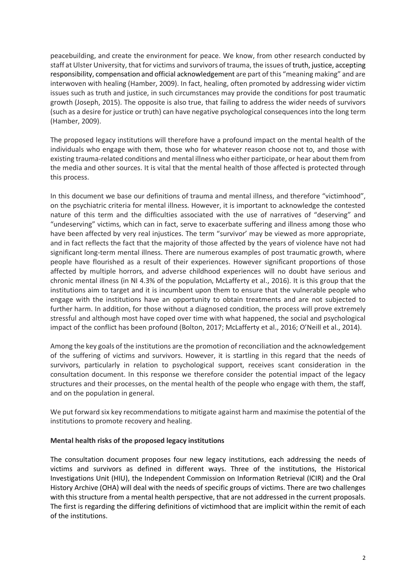peacebuilding, and create the environment for peace. We know, from other research conducted by staff at Ulster University, that for victims and survivors of trauma, the issues of truth, justice, accepting responsibility, compensation and official acknowledgement are part of this "meaning making" and are interwoven with healing (Hamber, 2009). In fact, healing, often promoted by addressing wider victim issues such as truth and justice, in such circumstances may provide the conditions for post traumatic growth (Joseph, 2015). The opposite is also true, that failing to address the wider needs of survivors (such as a desire for justice or truth) can have negative psychological consequences into the long term (Hamber, 2009).

The proposed legacy institutions will therefore have a profound impact on the mental health of the individuals who engage with them, those who for whatever reason choose not to, and those with existing trauma-related conditions and mental illness who either participate, or hear about them from the media and other sources. It is vital that the mental health of those affected is protected through this process.

In this document we base our definitions of trauma and mental illness, and therefore "victimhood", on the psychiatric criteria for mental illness. However, it is important to acknowledge the contested nature of this term and the difficulties associated with the use of narratives of "deserving" and "undeserving" victims, which can in fact, serve to exacerbate suffering and illness among those who have been affected by very real injustices. The term "survivor' may be viewed as more appropriate, and in fact reflects the fact that the majority of those affected by the years of violence have not had significant long-term mental illness. There are numerous examples of post traumatic growth, where people have flourished as a result of their experiences. However significant proportions of those affected by multiple horrors, and adverse childhood experiences will no doubt have serious and chronic mental illness (in NI 4.3% of the population, McLafferty et al., 2016). It is this group that the institutions aim to target and it is incumbent upon them to ensure that the vulnerable people who engage with the institutions have an opportunity to obtain treatments and are not subjected to further harm. In addition, for those without a diagnosed condition, the process will prove extremely stressful and although most have coped over time with what happened, the social and psychological impact of the conflict has been profound (Bolton, 2017; McLafferty et al., 2016; O'Neill et al., 2014).

Among the key goals of the institutions are the promotion of reconciliation and the acknowledgement of the suffering of victims and survivors. However, it is startling in this regard that the needs of survivors, particularly in relation to psychological support, receives scant consideration in the consultation document. In this response we therefore consider the potential impact of the legacy structures and their processes, on the mental health of the people who engage with them, the staff, and on the population in general.

We put forward six key recommendations to mitigate against harm and maximise the potential of the institutions to promote recovery and healing.

# **Mental health risks of the proposed legacy institutions**

The consultation document proposes four new legacy institutions, each addressing the needs of victims and survivors as defined in different ways. Three of the institutions, the Historical Investigations Unit (HIU), the Independent Commission on Information Retrieval (ICIR) and the Oral History Archive (OHA) will deal with the needs of specific groups of victims. There are two challenges with this structure from a mental health perspective, that are not addressed in the current proposals. The first is regarding the differing definitions of victimhood that are implicit within the remit of each of the institutions.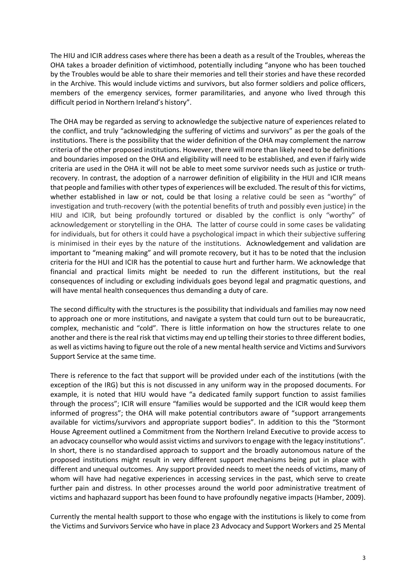The HIU and ICIR address cases where there has been a death as a result of the Troubles, whereas the OHA takes a broader definition of victimhood, potentially including "anyone who has been touched by the Troubles would be able to share their memories and tell their stories and have these recorded in the Archive. This would include victims and survivors, but also former soldiers and police officers, members of the emergency services, former paramilitaries, and anyone who lived through this difficult period in Northern Ireland's history".

The OHA may be regarded as serving to acknowledge the subjective nature of experiences related to the conflict, and truly "acknowledging the suffering of victims and survivors" as per the goals of the institutions. There is the possibility that the wider definition of the OHA may complement the narrow criteria of the other proposed institutions. However, there will more than likely need to be definitions and boundaries imposed on the OHA and eligibility will need to be established, and even if fairly wide criteria are used in the OHA it will not be able to meet some survivor needs such as justice or truthrecovery. In contrast, the adoption of a narrower definition of eligibility in the HUI and ICIR means that people and families with other types of experiences will be excluded. The result of this for victims, whether established in law or not, could be that losing a relative could be seen as "worthy" of investigation and truth-recovery (with the potential benefits of truth and possibly even justice) in the HIU and ICIR, but being profoundly tortured or disabled by the conflict is only "worthy" of acknowledgement or storytelling in the OHA. The latter of course could in some cases be validating for individuals, but for others it could have a psychological impact in which their subjective suffering is minimised in their eyes by the nature of the institutions. Acknowledgement and validation are important to "meaning making" and will promote recovery, but it has to be noted that the inclusion criteria for the HUI and ICIR has the potential to cause hurt and further harm. We acknowledge that financial and practical limits might be needed to run the different institutions, but the real consequences of including or excluding individuals goes beyond legal and pragmatic questions, and will have mental health consequences thus demanding a duty of care.

The second difficulty with the structures is the possibility that individuals and families may now need to approach one or more institutions, and navigate a system that could turn out to be bureaucratic, complex, mechanistic and "cold". There is little information on how the structures relate to one another and there is the real risk that victims may end up telling their stories to three different bodies, as well as victims having to figure out the role of a new mental health service and Victims and Survivors Support Service at the same time.

There is reference to the fact that support will be provided under each of the institutions (with the exception of the IRG) but this is not discussed in any uniform way in the proposed documents. For example, it is noted that HIU would have "a dedicated family support function to assist families through the process"; ICIR will ensure "families would be supported and the ICIR would keep them informed of progress"; the OHA will make potential contributors aware of "support arrangements available for victims/survivors and appropriate support bodies". In addition to this the "Stormont House Agreement outlined a Commitment from the Northern Ireland Executive to provide access to an advocacy counsellor who would assist victims and survivors to engage with the legacy institutions". In short, there is no standardised approach to support and the broadly autonomous nature of the proposed institutions might result in very different support mechanisms being put in place with different and unequal outcomes. Any support provided needs to meet the needs of victims, many of whom will have had negative experiences in accessing services in the past, which serve to create further pain and distress. In other processes around the world poor administrative treatment of victims and haphazard support has been found to have profoundly negative impacts (Hamber, 2009).

Currently the mental health support to those who engage with the institutions is likely to come from the Victims and Survivors Service who have in place 23 Advocacy and Support Workers and 25 Mental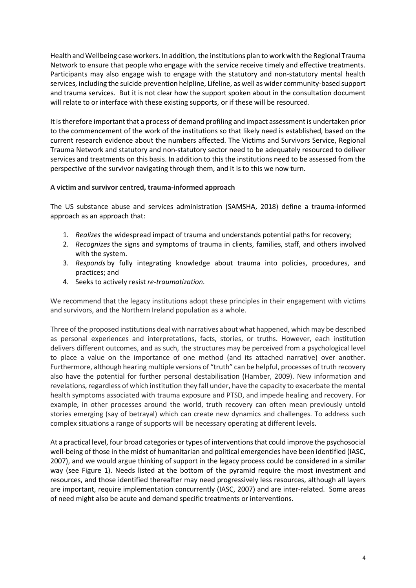Health and Wellbeing case workers. In addition, the institutions plan to work with the Regional Trauma Network to ensure that people who engage with the service receive timely and effective treatments. Participants may also engage wish to engage with the statutory and non-statutory mental health services, including the suicide prevention helpline, Lifeline, as well as wider community-based support and trauma services. But it is not clear how the support spoken about in the consultation document will relate to or interface with these existing supports, or if these will be resourced.

It is therefore important that a process of demand profiling and impact assessment is undertaken prior to the commencement of the work of the institutions so that likely need is established, based on the current research evidence about the numbers affected. The Victims and Survivors Service, Regional Trauma Network and statutory and non-statutory sector need to be adequately resourced to deliver services and treatments on this basis. In addition to this the institutions need to be assessed from the perspective of the survivor navigating through them, and it is to this we now turn.

# **A victim and survivor centred, trauma-informed approach**

The US substance abuse and services administration (SAMSHA, 2018) define a trauma-informed approach as an approach that:

- 1. *Realizes* the widespread impact of trauma and understands potential paths for recovery;
- 2. *Recognizes* the signs and symptoms of trauma in clients, families, staff, and others involved with the system.
- 3. *Responds* by fully integrating knowledge about trauma into policies, procedures, and practices; and
- 4. Seeks to actively resist *re-traumatization*.

We recommend that the legacy institutions adopt these principles in their engagement with victims and survivors, and the Northern Ireland population as a whole.

Three of the proposed institutions deal with narratives about what happened, which may be described as personal experiences and interpretations, facts, stories, or truths. However, each institution delivers different outcomes, and as such, the structures may be perceived from a psychological level to place a value on the importance of one method (and its attached narrative) over another. Furthermore, although hearing multiple versions of "truth" can be helpful, processes of truth recovery also have the potential for further personal destabilisation (Hamber, 2009). New information and revelations, regardless of which institution they fall under, have the capacity to exacerbate the mental health symptoms associated with trauma exposure and PTSD, and impede healing and recovery. For example, in other processes around the world, truth recovery can often mean previously untold stories emerging (say of betrayal) which can create new dynamics and challenges. To address such complex situations a range of supports will be necessary operating at different levels.

At a practical level, four broad categories or types of interventions that could improve the psychosocial well-being of those in the midst of humanitarian and political emergencies have been identified (IASC, 2007), and we would argue thinking of support in the legacy process could be considered in a similar way (see Figure 1). Needs listed at the bottom of the pyramid require the most investment and resources, and those identified thereafter may need progressively less resources, although all layers are important, require implementation concurrently (IASC, 2007) and are inter-related. Some areas of need might also be acute and demand specific treatments or interventions.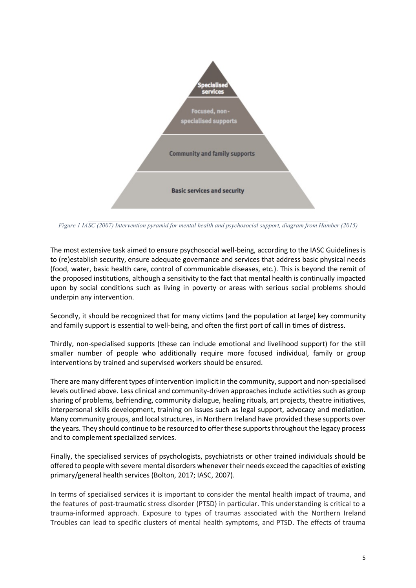

*Figure 1 IASC (2007) Intervention pyramid for mental health and psychosocial support, diagram from Hamber (2015)*

The most extensive task aimed to ensure psychosocial well-being, according to the IASC Guidelines is to (re)establish security, ensure adequate governance and services that address basic physical needs (food, water, basic health care, control of communicable diseases, etc.). This is beyond the remit of the proposed institutions, although a sensitivity to the fact that mental health is continually impacted upon by social conditions such as living in poverty or areas with serious social problems should underpin any intervention.

Secondly, it should be recognized that for many victims (and the population at large) key community and family support is essential to well-being, and often the first port of call in times of distress.

Thirdly, non-specialised supports (these can include emotional and livelihood support) for the still smaller number of people who additionally require more focused individual, family or group interventions by trained and supervised workers should be ensured.

There are many different types of intervention implicit in the community, support and non-specialised levels outlined above. Less clinical and community-driven approaches include activities such as group sharing of problems, befriending, community dialogue, healing rituals, art projects, theatre initiatives, interpersonal skills development, training on issues such as legal support, advocacy and mediation. Many community groups, and local structures, in Northern Ireland have provided these supports over the years. They should continue to be resourced to offer these supports throughout the legacy process and to complement specialized services.

Finally, the specialised services of psychologists, psychiatrists or other trained individuals should be offered to people with severe mental disorders whenever their needs exceed the capacities of existing primary/general health services (Bolton, 2017; IASC, 2007).

In terms of specialised services it is important to consider the mental health impact of trauma, and the features of post-traumatic stress disorder (PTSD) in particular. This understanding is critical to a trauma-informed approach. Exposure to types of traumas associated with the Northern Ireland Troubles can lead to specific clusters of mental health symptoms, and PTSD. The effects of trauma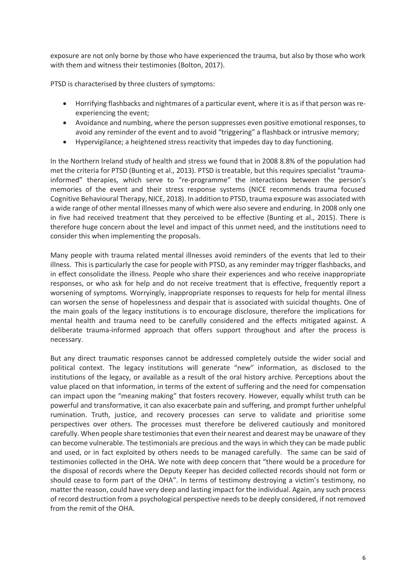exposure are not only borne by those who have experienced the trauma, but also by those who work with them and witness their testimonies (Bolton, 2017).

PTSD is characterised by three clusters of symptoms:

- Horrifying flashbacks and nightmares of a particular event, where it is as if that person was reexperiencing the event;
- Avoidance and numbing, where the person suppresses even positive emotional responses, to avoid any reminder of the event and to avoid "triggering" a flashback or intrusive memory;
- Hypervigilance; a heightened stress reactivity that impedes day to day functioning.

In the Northern Ireland study of health and stress we found that in 2008 8.8% of the population had met the criteria for PTSD (Bunting et al., 2013). PTSD is treatable, but this requires specialist "traumainformed" therapies, which serve to "re-programme" the interactions between the person's memories of the event and their stress response systems (NICE recommends trauma focused Cognitive Behavioural Therapy, NICE, 2018). In addition to PTSD, trauma exposure was associated with a wide range of other mental illnesses many of which were also severe and enduring. In 2008 only one in five had received treatment that they perceived to be effective (Bunting et al., 2015). There is therefore huge concern about the level and impact of this unmet need, and the institutions need to consider this when implementing the proposals.

Many people with trauma related mental illnesses avoid reminders of the events that led to their illness. This is particularly the case for people with PTSD, as any reminder may trigger flashbacks, and in effect consolidate the illness. People who share their experiences and who receive inappropriate responses, or who ask for help and do not receive treatment that is effective, frequently report a worsening of symptoms. Worryingly, inappropriate responses to requests for help for mental illness can worsen the sense of hopelessness and despair that is associated with suicidal thoughts. One of the main goals of the legacy institutions is to encourage disclosure, therefore the implications for mental health and trauma need to be carefully considered and the effects mitigated against. A deliberate trauma-informed approach that offers support throughout and after the process is necessary.

But any direct traumatic responses cannot be addressed completely outside the wider social and political context. The legacy institutions will generate "new" information, as disclosed to the institutions of the legacy, or available as a result of the oral history archive. Perceptions about the value placed on that information, in terms of the extent of suffering and the need for compensation can impact upon the "meaning making" that fosters recovery. However, equally whilst truth can be powerful and transformative, it can also exacerbate pain and suffering, and prompt further unhelpful rumination. Truth, justice, and recovery processes can serve to validate and prioritise some perspectives over others. The processes must therefore be delivered cautiously and monitored carefully. When people share testimonies that even their nearest and dearest may be unaware of they can become vulnerable. The testimonials are precious and the ways in which they can be made public and used, or in fact exploited by others needs to be managed carefully. The same can be said of testimonies collected in the OHA. We note with deep concern that "there would be a procedure for the disposal of records where the Deputy Keeper has decided collected records should not form or should cease to form part of the OHA". In terms of testimony destroying a victim's testimony, no matter the reason, could have very deep and lasting impact for the individual. Again, any such process of record destruction from a psychological perspective needs to be deeply considered, if not removed from the remit of the OHA.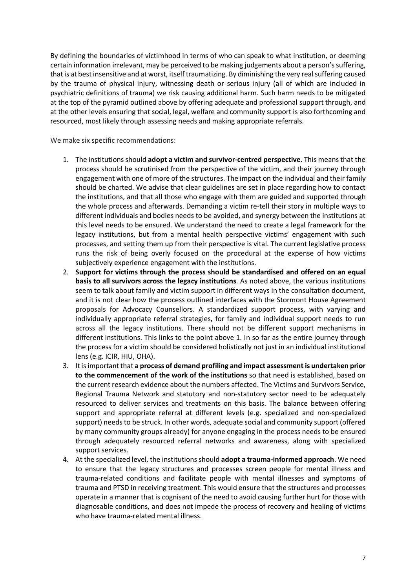By defining the boundaries of victimhood in terms of who can speak to what institution, or deeming certain information irrelevant, may be perceived to be making judgements about a person's suffering, that is at best insensitive and at worst, itself traumatizing. By diminishing the very real suffering caused by the trauma of physical injury, witnessing death or serious injury (all of which are included in psychiatric definitions of trauma) we risk causing additional harm. Such harm needs to be mitigated at the top of the pyramid outlined above by offering adequate and professional support through, and at the other levels ensuring that social, legal, welfare and community support is also forthcoming and resourced, most likely through assessing needs and making appropriate referrals.

We make six specific recommendations:

- 1. The institutions should **adopt a victim and survivor-centred perspective**. This means that the process should be scrutinised from the perspective of the victim, and their journey through engagement with one of more of the structures. The impact on the individual and their family should be charted. We advise that clear guidelines are set in place regarding how to contact the institutions, and that all those who engage with them are guided and supported through the whole process and afterwards. Demanding a victim re-tell their story in multiple ways to different individuals and bodies needs to be avoided, and synergy between the institutions at this level needs to be ensured. We understand the need to create a legal framework for the legacy institutions, but from a mental health perspective victims' engagement with such processes, and setting them up from their perspective is vital. The current legislative process runs the risk of being overly focused on the procedural at the expense of how victims subjectively experience engagement with the institutions.
- 2. **Support for victims through the process should be standardised and offered on an equal basis to all survivors across the legacy institutions**. As noted above, the various institutions seem to talk about family and victim support in different ways in the consultation document, and it is not clear how the process outlined interfaces with the Stormont House Agreement proposals for Advocacy Counsellors. A standardized support process, with varying and individually appropriate referral strategies, for family and individual support needs to run across all the legacy institutions. There should not be different support mechanisms in different institutions. This links to the point above 1. In so far as the entire journey through the process for a victim should be considered holistically not just in an individual institutional lens (e.g. ICIR, HIU, OHA).
- 3. It is important that **a process of demand profiling and impact assessment is undertaken prior to the commencement of the work of the institutions** so that need is established, based on the current research evidence about the numbers affected. The Victims and Survivors Service, Regional Trauma Network and statutory and non-statutory sector need to be adequately resourced to deliver services and treatments on this basis. The balance between offering support and appropriate referral at different levels (e.g. specialized and non-specialized support) needs to be struck. In other words, adequate social and community support (offered by many community groups already) for anyone engaging in the process needs to be ensured through adequately resourced referral networks and awareness, along with specialized support services.
- 4. At the specialized level, the institutions should **adopt a trauma-informed approach**. We need to ensure that the legacy structures and processes screen people for mental illness and trauma-related conditions and facilitate people with mental illnesses and symptoms of trauma and PTSD in receiving treatment. This would ensure that the structures and processes operate in a manner that is cognisant of the need to avoid causing further hurt for those with diagnosable conditions, and does not impede the process of recovery and healing of victims who have trauma-related mental illness.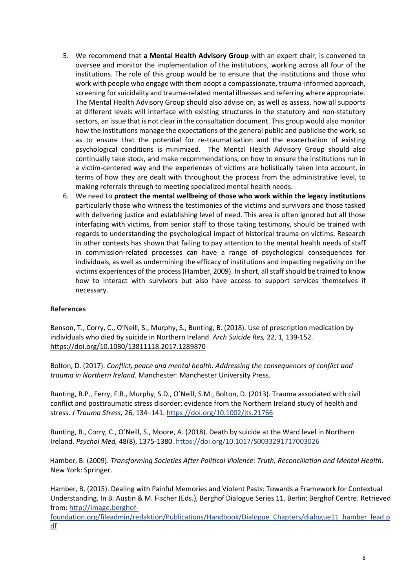- 5. We recommend that **a Mental Health Advisory Group** with an expert chair, is convened to oversee and monitor the implementation of the institutions, working across all four of the institutions. The role of this group would be to ensure that the institutions and those who work with people who engage with them adopt a compassionate, trauma-informed approach, screening for suicidality and trauma-related mental illnesses and referring where appropriate. The Mental Health Advisory Group should also advise on, as well as assess, how all supports at different levels will interface with existing structures in the statutory and non-statutory sectors, an issue that is not clear in the consultation document. This group would also monitor how the institutions manage the expectations of the general public and publicise the work, so as to ensure that the potential for re-traumatisation and the exacerbation of existing psychological conditions is minimized. The Mental Health Advisory Group should also continually take stock, and make recommendations, on how to ensure the institutions run in a victim-centered way and the experiences of victims are holistically taken into account, in terms of how they are dealt with throughout the process from the administrative level, to making referrals through to meeting specialized mental health needs.
- 6. We need to **protect the mental wellbeing of those who work within the legacy institutions** particularly those who witness the testimonies of the victims and survivors and those tasked with delivering justice and establishing level of need. This area is often ignored but all those interfacing with victims, from senior staff to those taking testimony, should be trained with regards to understanding the psychological impact of historical trauma on victims. Research in other contexts has shown that failing to pay attention to the mental health needs of staff in commission-related processes can have a range of psychological consequences for individuals, as well as undermining the efficacy of institutions and impacting negativity on the victims experiences of the process(Hamber, 2009). In short, all staff should be trained to know how to interact with survivors but also have access to support services themselves if necessary.

# **References**

Benson, T., Corry, C., O'Neill, S., Murphy, S., Bunting, B. (2018). Use of prescription medication by individuals who died by suicide in Northern Ireland. *Arch Suicide Res,* 22, 1, 139-152. https://doi.org/10.1080/13811118.2017.1289870

Bolton, D. (2017). *Conflict, peace and mental health: Addressing the consequences of conflict and trauma in Northern Ireland.* Manchester: Manchester University Press.

Bunting, B.P., Ferry, F.R., Murphy, S.D., O'Neill, S.M., Bolton, D. (2013). Trauma associated with civil conflict and posttraumatic stress disorder: evidence from the Northern Ireland study of health and stress. *J Trauma Stress,* 26, 134–141. https://doi.org/10.1002/jts.21766

Bunting, B., Corry, C., O'Neill, S., Moore, A. (2018). Death by suicide at the Ward level in Northern Ireland. *Psychol Med,* 48(8), 1375-1380. https://doi.org/10.1017/S0033291717003026

Hamber, B. (2009). *Transforming Societies After Political Violence: Truth, Reconciliation and Mental Health*. New York: Springer.

Hamber, B. (2015). Dealing with Painful Memories and Violent Pasts: Towards a Framework for Contextual Understanding. In B. Austin & M. Fischer (Eds.), Berghof Dialogue Series 11. Berlin: Berghof Centre. Retrieved from: http://image.berghof-

foundation.org/fileadmin/redaktion/Publications/Handbook/Dialogue\_Chapters/dialogue11\_hamber\_lead.p df